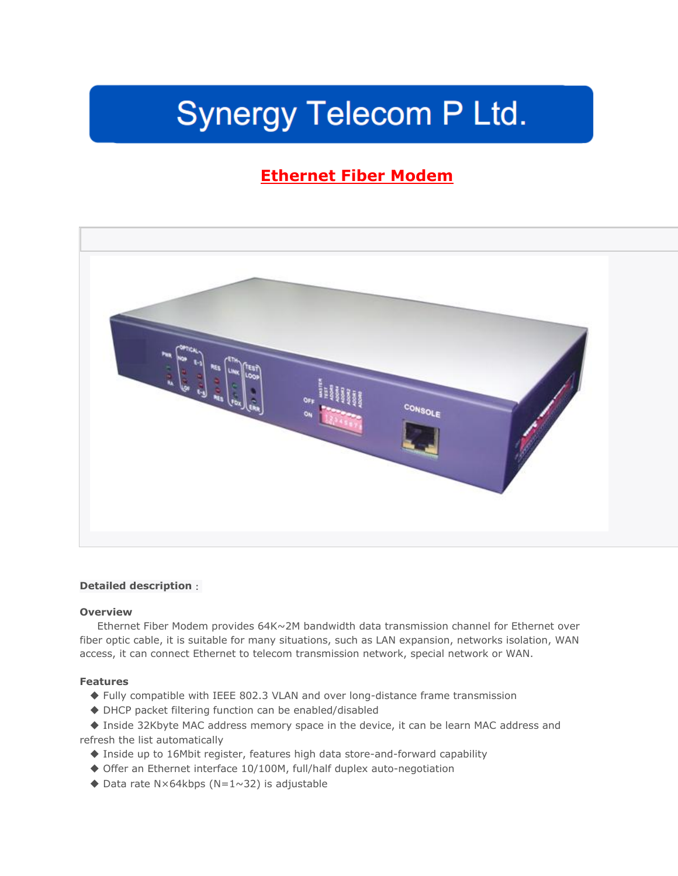# **Synergy Telecom P Ltd.**

# **Ethernet Fiber Modem**



#### **Detailed description**:

#### **Overview**

 Ethernet Fiber Modem provides 64K~2M bandwidth data transmission channel for Ethernet over fiber optic cable, it is suitable for many situations, such as LAN expansion, networks isolation, WAN access, it can connect Ethernet to telecom transmission network, special network or WAN.

## **Features**

- ◆ Fully compatible with IEEE 802.3 VLAN and over long-distance frame transmission
- ◆ DHCP packet filtering function can be enabled/disabled
- ◆ Inside 32Kbyte MAC address memory space in the device, it can be learn MAC address and refresh the list automatically
	- ◆ Inside up to 16Mbit register, features high data store-and-forward capability
	- ◆ Offer an Ethernet interface 10/100M, full/half duplex auto-negotiation
	- ◆ Data rate N×64kbps (N=1~32) is adjustable